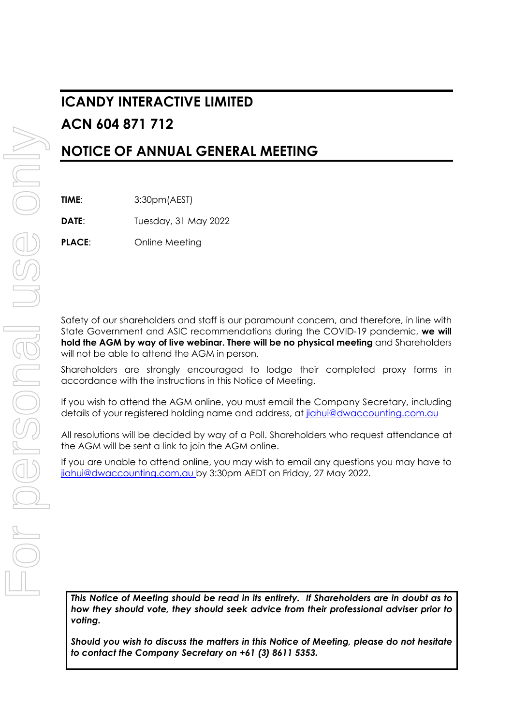# **ICANDY INTERACTIVE LIMITED ACN 604 871 712**

# **NOTICE OF ANNUAL GENERAL MEETING**

**TIME**: 3:30pm(AEST)

**DATE**: Tuesday, 31 May 2022

**PLACE:** Online Meeting

Safety of our shareholders and staff is our paramount concern, and therefore, in line with State Government and ASIC recommendations during the COVID-19 pandemic, **we will hold the AGM by way of live webinar. There will be no physical meeting** and Shareholders will not be able to attend the AGM in person.

Shareholders are strongly encouraged to lodge their completed proxy forms in accordance with the instructions in this Notice of Meeting.

If you wish to attend the AGM online, you must email the Company Secretary, including details of your registered holding name and address, at jiahui@dwaccounting.com.au

All resolutions will be decided by way of a Poll. Shareholders who request attendance at the AGM will be sent a link to join the AGM online.

If you are unable to attend online, you may wish to email any questions you may have to jiahui@dwaccounting.com.au by 3:30pm AEDT on Friday, 27 May 2022.

*This Notice of Meeting should be read in its entirety. If Shareholders are in doubt as to how they should vote, they should seek advice from their professional adviser prior to voting.* 

*Should you wish to discuss the matters in this Notice of Meeting, please do not hesitate to contact the Company Secretary on +61 (3) 8611 5353.*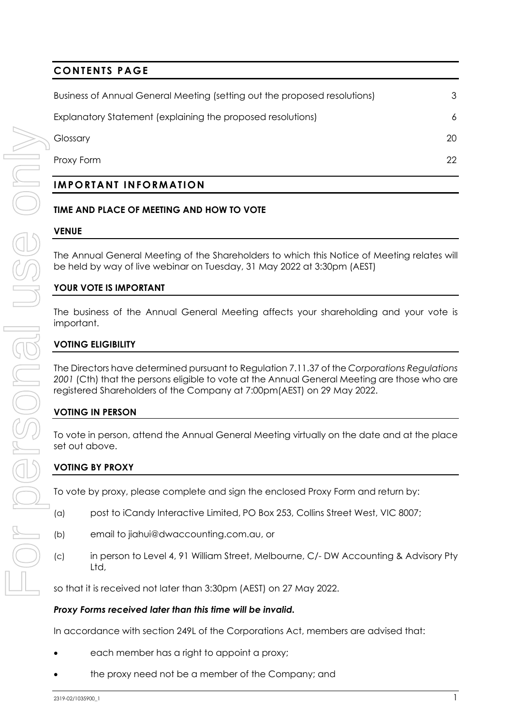# **CONTENTS PAGE**

| <b>IMPORTANT INFORMATION</b>                                              |    |
|---------------------------------------------------------------------------|----|
| Proxy Form                                                                | 22 |
| Glossary                                                                  | 20 |
| Explanatory Statement (explaining the proposed resolutions)               | 6  |
| Business of Annual General Meeting (setting out the proposed resolutions) | 3  |
|                                                                           |    |

# **TIME AND PLACE OF MEETING AND HOW TO VOTE**

# **VENUE**

The Annual General Meeting of the Shareholders to which this Notice of Meeting relates will be held by way of live webinar on Tuesday, 31 May 2022 at 3:30pm (AEST)

# **YOUR VOTE IS IMPORTANT**

The business of the Annual General Meeting affects your shareholding and your vote is important.

# **VOTING ELIGIBILITY**

The Directors have determined pursuant to Regulation 7.11.37 of the *Corporations Regulations*  2001 (Cth) that the persons eligible to vote at the Annual General Meeting are those who are registered Shareholders of the Company at 7:00pm(AEST) on 29 May 2022.

# **VOTING IN PERSON**

To vote in person, attend the Annual General Meeting virtually on the date and at the place set out above.

# **VOTING BY PROXY**

To vote by proxy, please complete and sign the enclosed Proxy Form and return by:

- (a) post to iCandy Interactive Limited, PO Box 253, Collins Street West, VIC 8007;
- (b) email to jiahui@dwaccounting.com.au, or
- (c) in person to Level 4, 91 William Street, Melbourne, C/- DW Accounting & Advisory Pty Ltd,

so that it is received not later than 3:30pm (AEST) on 27 May 2022.

# *Proxy Forms received later than this time will be invalid.*

In accordance with section 249L of the Corporations Act, members are advised that:

- each member has a right to appoint a proxy;
- the proxy need not be a member of the Company; and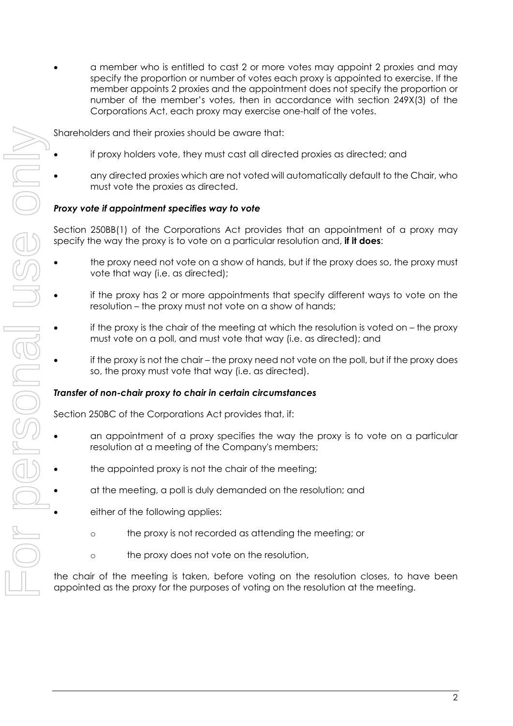a member who is entitled to cast 2 or more votes may appoint 2 proxies and may specify the proportion or number of votes each proxy is appointed to exercise. If the member appoints 2 proxies and the appointment does not specify the proportion or number of the member's votes, then in accordance with section 249X(3) of the Corporations Act, each proxy may exercise one-half of the votes.

Shareholders and their proxies should be aware that:

- if proxy holders vote, they must cast all directed proxies as directed; and
- any directed proxies which are not voted will automatically default to the Chair, who must vote the proxies as directed.

# *Proxy vote if appointment specifies way to vote*

Section 250BB(1) of the Corporations Act provides that an appointment of a proxy may specify the way the proxy is to vote on a particular resolution and, **if it does**:

- the proxy need not vote on a show of hands, but if the proxy does so, the proxy must vote that way (i.e. as directed);
- if the proxy has 2 or more appointments that specify different ways to vote on the resolution – the proxy must not vote on a show of hands;
- if the proxy is the chair of the meeting at which the resolution is voted on the proxy must vote on a poll, and must vote that way (i.e. as directed); and
- if the proxy is not the chair the proxy need not vote on the poll, but if the proxy does so, the proxy must vote that way (i.e. as directed).

# *Transfer of non-chair proxy to chair in certain circumstances*

Section 250BC of the Corporations Act provides that, if:

- an appointment of a proxy specifies the way the proxy is to vote on a particular resolution at a meeting of the Company's members;
- the appointed proxy is not the chair of the meeting;
- at the meeting, a poll is duly demanded on the resolution; and
- either of the following applies:
	- o the proxy is not recorded as attending the meeting; or
	- o the proxy does not vote on the resolution,

the chair of the meeting is taken, before voting on the resolution closes, to have been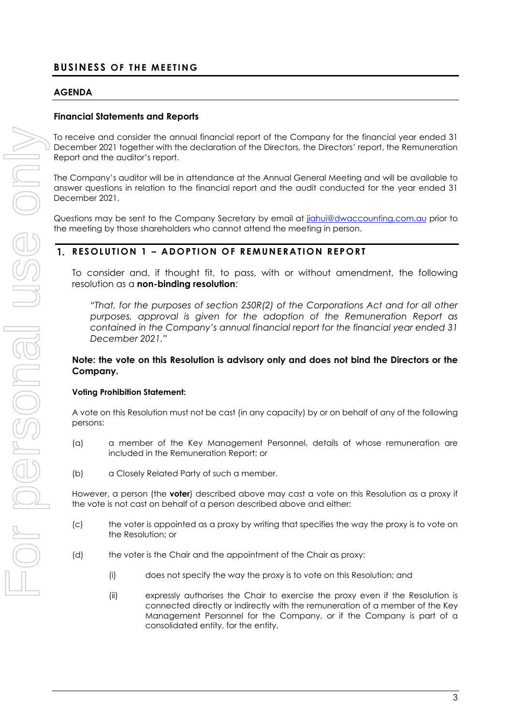# **AGENDA**

# **Financial Statements and Reports**

To receive and consider the annual financial report of the Company for the financial year ended 31 December 2021 together with the declaration of the Directors, the Directors' report, the Remuneration Report and the auditor's report.

The Company's auditor will be in attendance at the Annual General Meeting and will be available to answer questions in relation to the financial report and the audit conducted for the year ended 31 December 2021.

Questions may be sent to the Company Secretary by email at jiahui@dwaccounting.com.au prior to the meeting by those shareholders who cannot attend the meeting in person.

# **RESOLUTION 1 – ADOPTION OF REMUNERATION REPORT**

To consider and, if thought fit, to pass, with or without amendment, the following resolution as a **non-binding resolution**:

*"That, for the purposes of section 250R(2) of the Corporations Act and for all other purposes, approval is given for the adoption of the Remuneration Report as contained in the Company's annual financial report for the financial year ended 31 December 2021."* 

## **Note: the vote on this Resolution is advisory only and does not bind the Directors or the Company.**

# **Voting Prohibition Statement:**

A vote on this Resolution must not be cast (in any capacity) by or on behalf of any of the following persons:

- (a) a member of the Key Management Personnel, details of whose remuneration are included in the Remuneration Report; or
- (b) a Closely Related Party of such a member.

However, a person (the **voter**) described above may cast a vote on this Resolution as a proxy if the vote is not cast on behalf of a person described above and either:

- (c) the voter is appointed as a proxy by writing that specifies the way the proxy is to vote on the Resolution; or
- (d) the voter is the Chair and the appointment of the Chair as proxy:
	- (i) does not specify the way the proxy is to vote on this Resolution; and
	- (ii) expressly authorises the Chair to exercise the proxy even if the Resolution is connected directly or indirectly with the remuneration of a member of the Key Management Personnel for the Company, or if the Company is part of a consolidated entity, for the entity.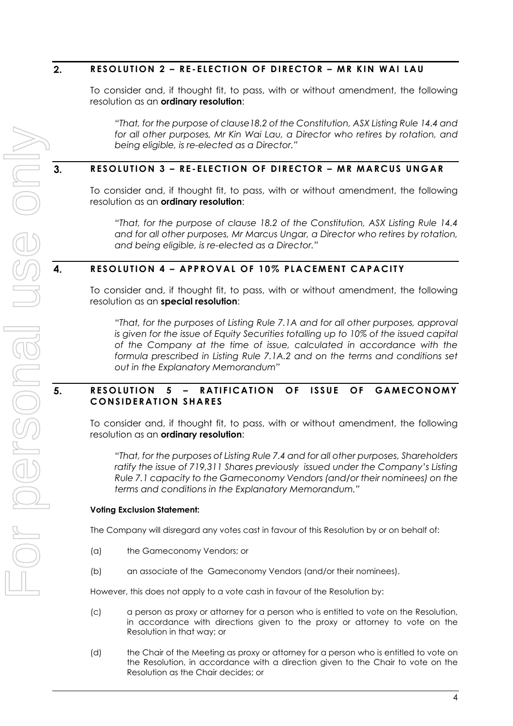#### $2.$ **RESOLUTION 2 – RE-ELECTION OF DIRECTOR – MR KIN WAI LAU**

To consider and, if thought fit, to pass, with or without amendment, the following resolution as an **ordinary resolution**:

*"That, for the purpose of clause18.2 of the Constitution, ASX Listing Rule 14.4 and*  for all other purposes, Mr Kin Wai Lau, a Director who retires by rotation, and *being eligible, is re-elected as a Director."* 

#### $3.$ **RESOLUTION 3 – RE-ELECTION OF DIRECTOR – MR MARCUS UNGAR**

To consider and, if thought fit, to pass, with or without amendment, the following resolution as an **ordinary resolution**:

*"That, for the purpose of clause 18.2 of the Constitution, ASX Listing Rule 14.4 and for all other purposes, Mr Marcus Ungar, a Director who retires by rotation, and being eligible, is re-elected as a Director."* 

#### 4. **RESOLUTION 4 – APPROVAL OF 10% PLACEMENT CAPACITY**

To consider and, if thought fit, to pass, with or without amendment, the following resolution as an **special resolution**:

*"That, for the purposes of Listing Rule 7.1A and for all other purposes, approval is given for the issue of Equity Securities totalling up to 10% of the issued capital of the Company at the time of issue, calculated in accordance with the formula prescribed in Listing Rule 7.1A.2 and on the terms and conditions set out in the Explanatory Memorandum"* 

#### 5. **RESOLUTION 5 – RATIFICATION OF ISSUE OF GAMECONOMY CONSIDERATION SHARES**

To consider and, if thought fit, to pass, with or without amendment, the following resolution as an **ordinary resolution**:

*"That, for the purposes of Listing Rule 7.4 and for all other purposes, Shareholders ratify the issue of 719,311 Shares previously issued under the Company's Listing Rule 7.1 capacity to the Gameconomy Vendors (and/or their nominees) on the terms and conditions in the Explanatory Memorandum."* 

#### **Voting Exclusion Statement:**

The Company will disregard any votes cast in favour of this Resolution by or on behalf of:

- (a) the Gameconomy Vendors; or
- (b) an associate of the Gameconomy Vendors (and/or their nominees).

However, this does not apply to a vote cash in favour of the Resolution by:

- (c) a person as proxy or attorney for a person who is entitled to vote on the Resolution, in accordance with directions given to the proxy or attorney to vote on the Resolution in that way; or
- (d) the Chair of the Meeting as proxy or attorney for a person who is entitled to vote on the Resolution, in accordance with a direction given to the Chair to vote on the Resolution as the Chair decides; or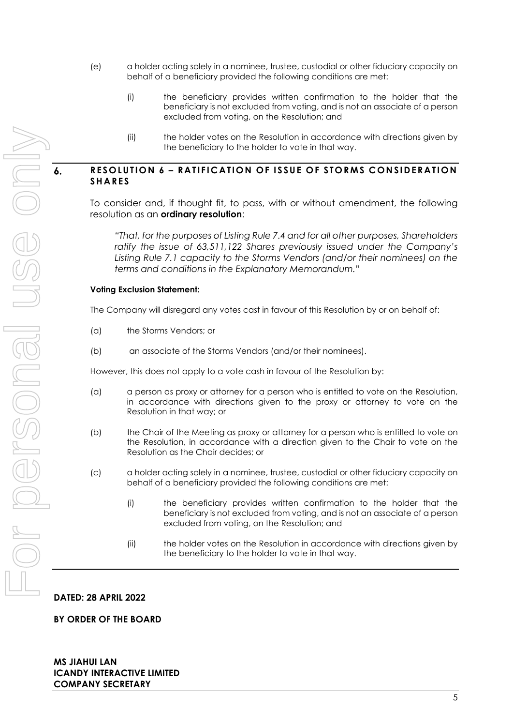- (e) a holder acting solely in a nominee, trustee, custodial or other fiduciary capacity on behalf of a beneficiary provided the following conditions are met:
	- (i) the beneficiary provides written confirmation to the holder that the beneficiary is not excluded from voting, and is not an associate of a person excluded from voting, on the Resolution; and
	- (ii) the holder votes on the Resolution in accordance with directions given by the beneficiary to the holder to vote in that way.

## **RESOLUTION 6 – RATIFICATION OF ISSUE OF STORMS CONSIDERATION SHARES**

To consider and, if thought fit, to pass, with or without amendment, the following resolution as an **ordinary resolution**:

*"That, for the purposes of Listing Rule 7.4 and for all other purposes, Shareholders ratify the issue of 63,511,122 Shares previously issued under the Company's Listing Rule 7.1 capacity to the Storms Vendors (and/or their nominees) on the terms and conditions in the Explanatory Memorandum."* 

#### **Voting Exclusion Statement:**

The Company will disregard any votes cast in favour of this Resolution by or on behalf of:

- (a) the Storms Vendors; or
- (b) an associate of the Storms Vendors (and/or their nominees).

However, this does not apply to a vote cash in favour of the Resolution by:

- (a) a person as proxy or attorney for a person who is entitled to vote on the Resolution, in accordance with directions given to the proxy or attorney to vote on the Resolution in that way; or
- (b) the Chair of the Meeting as proxy or attorney for a person who is entitled to vote on the Resolution, in accordance with a direction given to the Chair to vote on the Resolution as the Chair decides; or
- (c) a holder acting solely in a nominee, trustee, custodial or other fiduciary capacity on behalf of a beneficiary provided the following conditions are met:
	- (i) the beneficiary provides written confirmation to the holder that the beneficiary is not excluded from voting, and is not an associate of a person excluded from voting, on the Resolution; and
	- (ii) the holder votes on the Resolution in accordance with directions given by the beneficiary to the holder to vote in that way.

#### **DATED: 28 APRIL 2022**

#### **BY ORDER OF THE BOARD**

 $\mathbf{6}$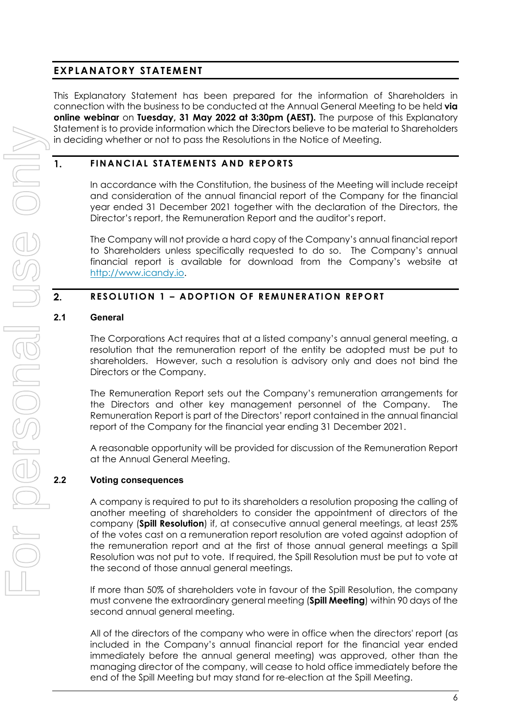# **EXPLANATORY STATEMENT**

This Explanatory Statement has been prepared for the information of Shareholders in connection with the business to be conducted at the Annual General Meeting to be held **via online webinar** on **Tuesday, 31 May 2022 at 3:30pm (AEST).** The purpose of this Explanatory Statement is to provide information which the Directors believe to be material to Shareholders in deciding whether or not to pass the Resolutions in the Notice of Meeting.

# **FINANCIAL STATEMENTS AND REPORTS**

In accordance with the Constitution, the business of the Meeting will include receipt and consideration of the annual financial report of the Company for the financial year ended 31 December 2021 together with the declaration of the Directors, the Director's report, the Remuneration Report and the auditor's report.

The Company will not provide a hard copy of the Company's annual financial report to Shareholders unless specifically requested to do so. The Company's annual financial report is available for download from the Company's website at http://www.icandy.io.

#### 2. **RESOLUTION 1 – ADOPTION OF REMUNERATION REPORT**

## **2.1 General**

1.

The Corporations Act requires that at a listed company's annual general meeting, a resolution that the remuneration report of the entity be adopted must be put to shareholders. However, such a resolution is advisory only and does not bind the Directors or the Company.

The Remuneration Report sets out the Company's remuneration arrangements for the Directors and other key management personnel of the Company. The Remuneration Report is part of the Directors' report contained in the annual financial report of the Company for the financial year ending 31 December 2021.

A reasonable opportunity will be provided for discussion of the Remuneration Report at the Annual General Meeting.

# **2.2 Voting consequences**

A company is required to put to its shareholders a resolution proposing the calling of another meeting of shareholders to consider the appointment of directors of the company (**Spill Resolution**) if, at consecutive annual general meetings, at least 25% of the votes cast on a remuneration report resolution are voted against adoption of the remuneration report and at the first of those annual general meetings a Spill Resolution was not put to vote. If required, the Spill Resolution must be put to vote at the second of those annual general meetings.

If more than 50% of shareholders vote in favour of the Spill Resolution, the company must convene the extraordinary general meeting (**Spill Meeting**) within 90 days of the second annual general meeting.

All of the directors of the company who were in office when the directors' report (as included in the Company's annual financial report for the financial year ended immediately before the annual general meeting) was approved, other than the managing director of the company, will cease to hold office immediately before the end of the Spill Meeting but may stand for re-election at the Spill Meeting.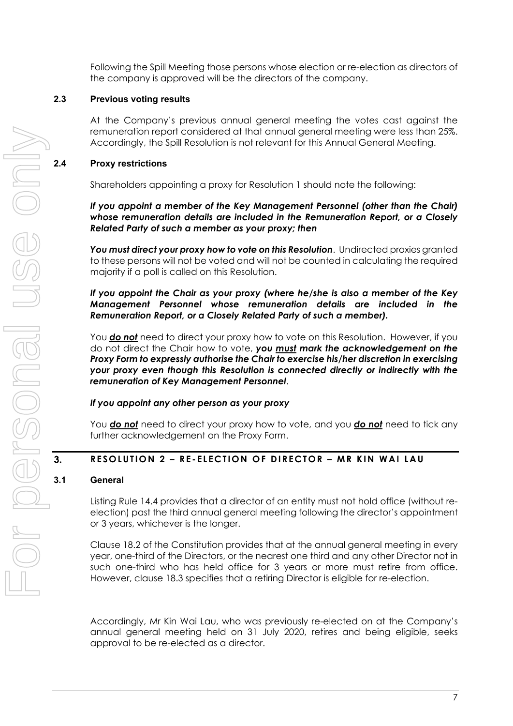Following the Spill Meeting those persons whose election or re-election as directors of the company is approved will be the directors of the company.

# **2.3 Previous voting results**

At the Company's previous annual general meeting the votes cast against the remuneration report considered at that annual general meeting were less than 25%. Accordingly, the Spill Resolution is not relevant for this Annual General Meeting.

# **2.4 Proxy restrictions**

Shareholders appointing a proxy for Resolution 1 should note the following:

*If you appoint a member of the Key Management Personnel (other than the Chair) whose remuneration details are included in the Remuneration Report, or a Closely Related Party of such a member as your proxy; then* 

*You must direct your proxy how to vote on this Resolution*. Undirected proxies granted to these persons will not be voted and will not be counted in calculating the required majority if a poll is called on this Resolution.

# *If you appoint the Chair as your proxy (where he/she is also a member of the Key Management Personnel whose remuneration details are included in the Remuneration Report, or a Closely Related Party of such a member).*

You *do not* need to direct your proxy how to vote on this Resolution. However, if you do not direct the Chair how to vote, *you must mark the acknowledgement on the Proxy Form to expressly authorise the Chair to exercise his/her discretion in exercising your proxy even though this Resolution is connected directly or indirectly with the remuneration of Key Management Personnel*.

# *If you appoint any other person as your proxy*

You *do not* need to direct your proxy how to vote, and you *do not* need to tick any further acknowledgement on the Proxy Form.

# **RESOLUTION 2 – RE-ELECTION OF DIRECTOR – MR KIN WAI LAU**

# **3.1 General**

 $3.$ 

Listing Rule 14.4 provides that a director of an entity must not hold office (without reelection) past the third annual general meeting following the director's appointment or 3 years, whichever is the longer.

Clause 18.2 of the Constitution provides that at the annual general meeting in every year, one-third of the Directors, or the nearest one third and any other Director not in such one-third who has held office for 3 years or more must retire from office. However, clause 18.3 specifies that a retiring Director is eligible for re-election.

Accordingly, Mr Kin Wai Lau, who was previously re-elected on at the Company's annual general meeting held on 31 July 2020, retires and being eligible, seeks approval to be re-elected as a director.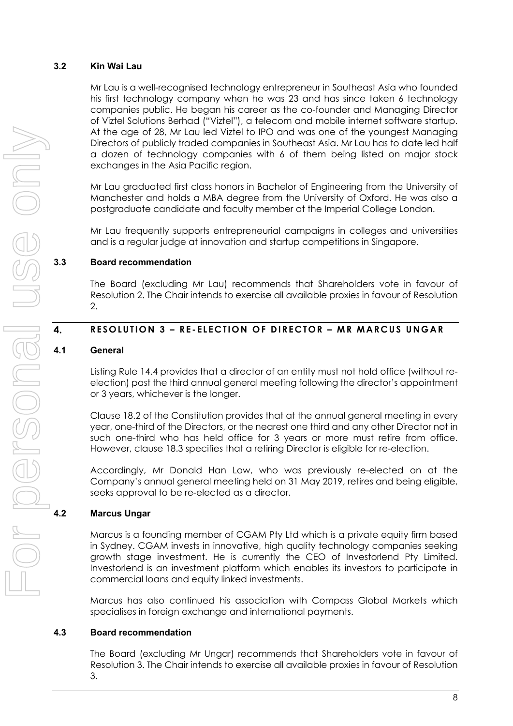# **3.2 Kin Wai Lau**

Mr Lau is a well-recognised technology entrepreneur in Southeast Asia who founded his first technology company when he was 23 and has since taken 6 technology companies public. He began his career as the co-founder and Managing Director of Viztel Solutions Berhad ("Viztel"), a telecom and mobile internet software startup. At the age of 28, Mr Lau led Viztel to IPO and was one of the youngest Managing Directors of publicly traded companies in Southeast Asia. Mr Lau has to date led half a dozen of technology companies with 6 of them being listed on major stock exchanges in the Asia Pacific region.

Mr Lau graduated first class honors in Bachelor of Engineering from the University of Manchester and holds a MBA degree from the University of Oxford. He was also a postgraduate candidate and faculty member at the Imperial College London.

Mr Lau frequently supports entrepreneurial campaigns in colleges and universities and is a regular judge at innovation and startup competitions in Singapore.

# **3.3 Board recommendation**

The Board (excluding Mr Lau) recommends that Shareholders vote in favour of Resolution 2. The Chair intends to exercise all available proxies in favour of Resolution 2.

#### $\overline{\mathbf{4}}$ . **RESOLUTION 3 – RE-ELECTION OF DIRECTOR – MR MARCUS UNGAR**

# **4.1 General**

Listing Rule 14.4 provides that a director of an entity must not hold office (without reelection) past the third annual general meeting following the director's appointment or 3 years, whichever is the longer.

Clause 18.2 of the Constitution provides that at the annual general meeting in every year, one-third of the Directors, or the nearest one third and any other Director not in such one-third who has held office for 3 years or more must retire from office. However, clause 18.3 specifies that a retiring Director is eligible for re-election.

Accordingly, Mr Donald Han Low, who was previously re-elected on at the Company's annual general meeting held on 31 May 2019, retires and being eligible, seeks approval to be re-elected as a director.

# **4.2 Marcus Ungar**

Marcus is a founding member of CGAM Pty Ltd which is a private equity firm based in Sydney. CGAM invests in innovative, high quality technology companies seeking growth stage investment. He is currently the CEO of Investorlend Pty Limited. Investorlend is an investment platform which enables its investors to participate in commercial loans and equity linked investments.

Marcus has also continued his association with Compass Global Markets which specialises in foreign exchange and international payments.

# **4.3 Board recommendation**

The Board (excluding Mr Ungar) recommends that Shareholders vote in favour of Resolution 3. The Chair intends to exercise all available proxies in favour of Resolution 3.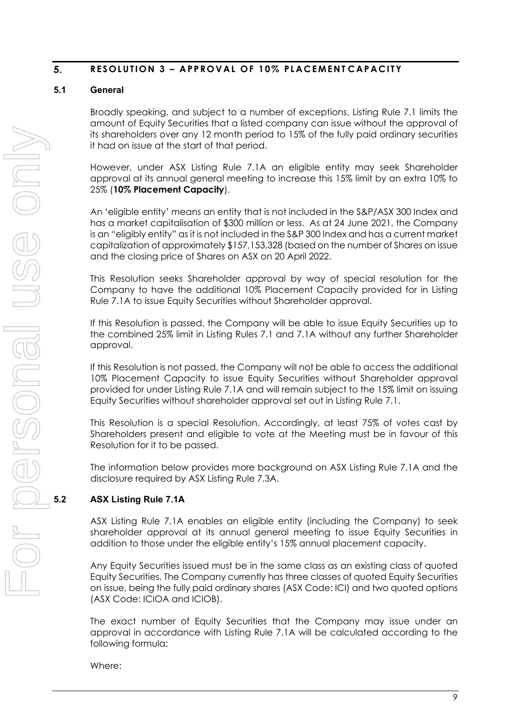#### 5. **RESOLUTION 3 - APPROVAL OF 10% PLACEMENTCAPACITY**

# **5.1 General**

Broadly speaking, and subject to a number of exceptions, Listing Rule 7.1 limits the amount of Equity Securities that a listed company can issue without the approval of its shareholders over any 12 month period to 15% of the fully paid ordinary securities it had on issue at the start of that period.

However, under ASX Listing Rule 7.1A an eligible entity may seek Shareholder approval at its annual general meeting to increase this 15% limit by an extra 10% to 25% (**10% Placement Capacity**).

An 'eligible entity' means an entity that is not included in the S&P/ASX 300 Index and has a market capitalisation of \$300 million or less. As at 24 June 2021, the Company is an "eligibly entity" as it is not included in the S&P 300 Index and has a current market capitalization of approximately \$157,153,328 (based on the number of Shares on issue and the closing price of Shares on ASX on 20 April 2022.

This Resolution seeks Shareholder approval by way of special resolution for the Company to have the additional 10% Placement Capacity provided for in Listing Rule 7.1A to issue Equity Securities without Shareholder approval.

If this Resolution is passed, the Company will be able to issue Equity Securities up to the combined 25% limit in Listing Rules 7.1 and 7.1A without any further Shareholder approval.

If this Resolution is not passed, the Company will not be able to access the additional 10% Placement Capacity to issue Equity Securities without Shareholder approval provided for under Listing Rule 7.1A and will remain subject to the 15% limit on issuing Equity Securities without shareholder approval set out in Listing Rule 7.1.

This Resolution is a special Resolution. Accordingly, at least 75% of votes cast by Shareholders present and eligible to vote at the Meeting must be in favour of this Resolution for it to be passed.

The information below provides more background on ASX Listing Rule 7.1A and the disclosure required by ASX Listing Rule 7.3A.

# **5.2 ASX Listing Rule 7.1A**

ASX Listing Rule 7.1A enables an eligible entity (including the Company) to seek shareholder approval at its annual general meeting to issue Equity Securities in addition to those under the eligible entity's 15% annual placement capacity.

Any Equity Securities issued must be in the same class as an existing class of quoted Equity Securities. The Company currently has three classes of quoted Equity Securities on issue, being the fully paid ordinary shares (ASX Code: ICI) and two quoted options (ASX Code: ICIOA and ICIOB).

The exact number of Equity Securities that the Company may issue under an approval in accordance with Listing Rule 7.1A will be calculated according to the following formula:

Where: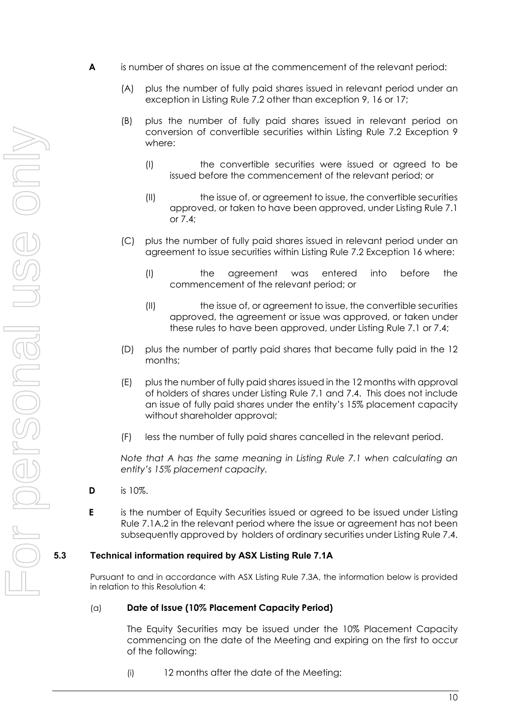- **A** is number of shares on issue at the commencement of the relevant period:
	- (A) plus the number of fully paid shares issued in relevant period under an exception in Listing Rule 7.2 other than exception 9, 16 or 17;
	- (B) plus the number of fully paid shares issued in relevant period on conversion of convertible securities within Listing Rule 7.2 Exception 9 where:
		- (I) the convertible securities were issued or agreed to be issued before the commencement of the relevant period; or
		- (II) the issue of, or agreement to issue, the convertible securities approved, or taken to have been approved, under Listing Rule 7.1 or 7.4;
	- (C) plus the number of fully paid shares issued in relevant period under an agreement to issue securities within Listing Rule 7.2 Exception 16 where:
		- (I) the agreement was entered into before the commencement of the relevant period; or
		- (II) the issue of, or agreement to issue, the convertible securities approved, the agreement or issue was approved, or taken under these rules to have been approved, under Listing Rule 7.1 or 7.4;
	- (D) plus the number of partly paid shares that became fully paid in the 12 months;
	- (E) plus the number of fully paid shares issued in the 12 months with approval of holders of shares under Listing Rule 7.1 and 7.4. This does not include an issue of fully paid shares under the entity's 15% placement capacity without shareholder approval;
	- (F) less the number of fully paid shares cancelled in the relevant period.

*Note that A has the same meaning in Listing Rule 7.1 when calculating an entity's 15% placement capacity.* 

- **D** is 10%.
- **E** is the number of Equity Securities issued or agreed to be issued under Listing Rule 7.1A.2 in the relevant period where the issue or agreement has not been subsequently approved by holders of ordinary securities under Listing Rule 7.4.

# **5.3 Technical information required by ASX Listing Rule 7.1A**

Pursuant to and in accordance with ASX Listing Rule 7.3A, the information below is provided in relation to this Resolution 4:

#### (a) **Date of Issue (10% Placement Capacity Period)**

The Equity Securities may be issued under the 10% Placement Capacity commencing on the date of the Meeting and expiring on the first to occur of the following:

(i) 12 months after the date of the Meeting;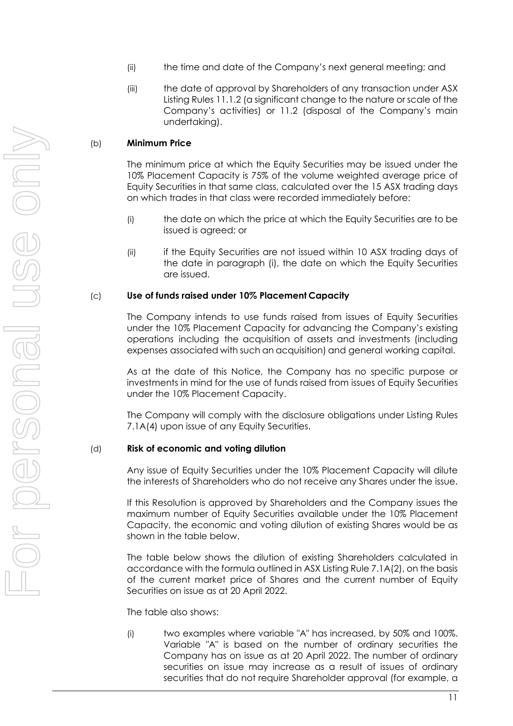- (ii) the time and date of the Company's next general meeting; and
- (iii) the date of approval by Shareholders of any transaction under ASX Listing Rules 11.1.2 (a significant change to the nature or scale of the Company's activities) or 11.2 (disposal of the Company's main undertaking).

## (b) **Minimum Price**

The minimum price at which the Equity Securities may be issued under the 10% Placement Capacity is 75% of the volume weighted average price of Equity Securities in that same class, calculated over the 15 ASX trading days on which trades in that class were recorded immediately before:

- (i) the date on which the price at which the Equity Securities are to be issued is agreed; or
- (ii) if the Equity Securities are not issued within 10 ASX trading days of the date in paragraph (i), the date on which the Equity Securities are issued.

#### (c) **Use of funds raised under 10% Placement Capacity**

The Company intends to use funds raised from issues of Equity Securities under the 10% Placement Capacity for advancing the Company's existing operations including the acquisition of assets and investments (including expenses associated with such an acquisition) and general working capital.

As at the date of this Notice, the Company has no specific purpose or investments in mind for the use of funds raised from issues of Equity Securities under the 10% Placement Capacity.

The Company will comply with the disclosure obligations under Listing Rules 7.1A(4) upon issue of any Equity Securities.

#### (d) **Risk of economic and voting dilution**

Any issue of Equity Securities under the 10% Placement Capacity will dilute the interests of Shareholders who do not receive any Shares under the issue.

If this Resolution is approved by Shareholders and the Company issues the maximum number of Equity Securities available under the 10% Placement Capacity, the economic and voting dilution of existing Shares would be as shown in the table below.

The table below shows the dilution of existing Shareholders calculated in accordance with the formula outlined in ASX Listing Rule 7.1A(2), on the basis of the current market price of Shares and the current number of Equity Securities on issue as at 20 April 2022.

The table also shows:

(i) two examples where variable "A" has increased, by 50% and 100%. Variable "A" is based on the number of ordinary securities the Company has on issue as at 20 April 2022. The number of ordinary securities on issue may increase as a result of issues of ordinary securities that do not require Shareholder approval (for example, a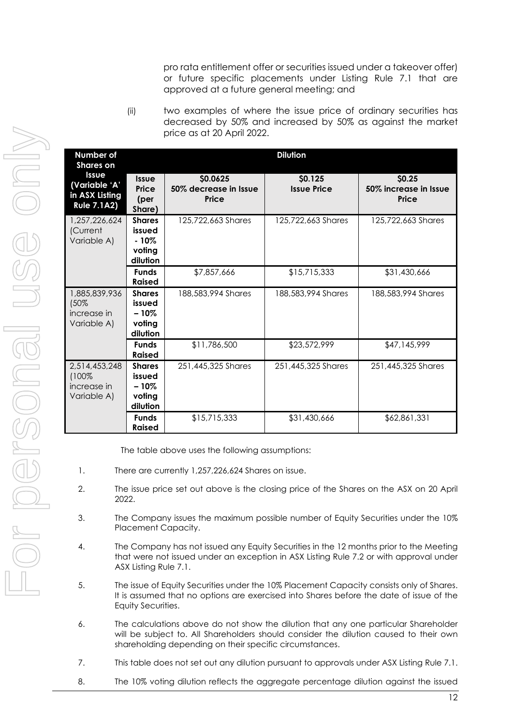pro rata entitlement offer or securities issued under a takeover offer) or future specific placements under Listing Rule 7.1 that are approved at a future general meeting; and

(ii) two examples of where the issue price of ordinary securities has decreased by 50% and increased by 50% as against the market price as at 20 April 2022.

| Number of<br><b>Shares</b> on                                         | <b>Dilution</b>                                          |                                                   |                               |                                          |
|-----------------------------------------------------------------------|----------------------------------------------------------|---------------------------------------------------|-------------------------------|------------------------------------------|
| <b>Issue</b><br>(Variable 'A'<br>in ASX Listing<br><b>Rule 7.1A2)</b> | <b>Issue</b><br>Price<br>(per<br>Share)                  | \$0.0625<br>50% decrease in Issue<br><b>Price</b> | \$0.125<br><b>Issue Price</b> | \$0.25<br>50% increase in Issue<br>Price |
| 1,257,226,624<br>(Current<br>Variable A)                              | <b>Shares</b><br>issued<br>$-10\%$<br>voting<br>dilution | 125,722,663 Shares                                | 125,722,663 Shares            | 125,722,663 Shares                       |
|                                                                       | <b>Funds</b><br><b>Raised</b>                            | \$7,857,666                                       | \$15,715,333                  | \$31,430,666                             |
| 1,885,839,936<br>(50%<br>increase in<br>Variable A)                   | <b>Shares</b><br>issued<br>$-10%$<br>votina<br>dilution  | 188,583,994 Shares                                | 188,583,994 Shares            | 188,583,994 Shares                       |
|                                                                       | <b>Funds</b><br><b>Raised</b>                            | \$11,786,500                                      | \$23,572,999                  | \$47,145,999                             |
| 2,514,453,248<br>$(100\%$<br>increase in<br>Variable A)               | <b>Shares</b><br>issued<br>$-10%$<br>voting<br>dilution  | 251,445,325 Shares                                | 251,445,325 Shares            | 251,445,325 Shares                       |
|                                                                       | <b>Funds</b><br><b>Raised</b>                            | \$15,715,333                                      | \$31,430,666                  | \$62,861,331                             |

The table above uses the following assumptions:

- 1. There are currently 1,257,226,624 Shares on issue.
- 2. The issue price set out above is the closing price of the Shares on the ASX on 20 April 2022.
- 3. The Company issues the maximum possible number of Equity Securities under the 10% Placement Capacity.
- 4. The Company has not issued any Equity Securities in the 12 months prior to the Meeting that were not issued under an exception in ASX Listing Rule 7.2 or with approval under ASX Listing Rule 7.1.
- 5. The issue of Equity Securities under the 10% Placement Capacity consists only of Shares. It is assumed that no options are exercised into Shares before the date of issue of the Equity Securities.
- 6. The calculations above do not show the dilution that any one particular Shareholder will be subject to. All Shareholders should consider the dilution caused to their own shareholding depending on their specific circumstances.
- 7. This table does not set out any dilution pursuant to approvals under ASX Listing Rule 7.1.
- 8. The 10% voting dilution reflects the aggregate percentage dilution against the issued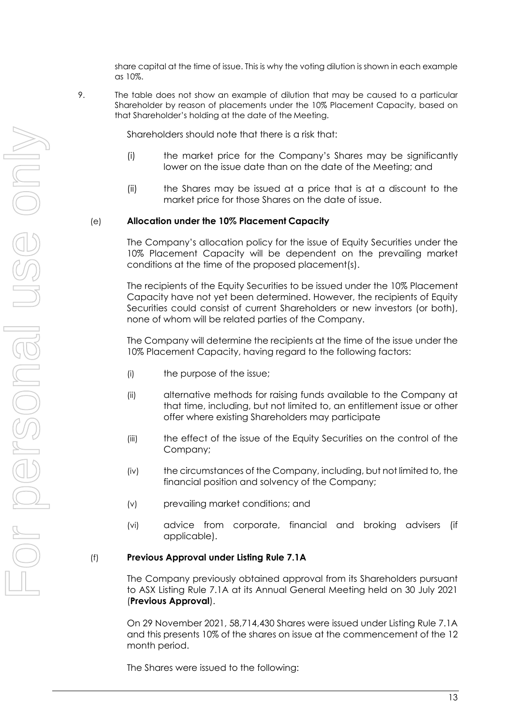share capital at the time of issue. This is why the voting dilution is shown in each example as 10%.

9. The table does not show an example of dilution that may be caused to a particular Shareholder by reason of placements under the 10% Placement Capacity, based on that Shareholder's holding at the date of the Meeting.

Shareholders should note that there is a risk that:

- (i) the market price for the Company's Shares may be significantly lower on the issue date than on the date of the Meeting; and
- (ii) the Shares may be issued at a price that is at a discount to the market price for those Shares on the date of issue.

#### (e) **Allocation under the 10% Placement Capacity**

The Company's allocation policy for the issue of Equity Securities under the 10% Placement Capacity will be dependent on the prevailing market conditions at the time of the proposed placement(s).

The recipients of the Equity Securities to be issued under the 10% Placement Capacity have not yet been determined. However, the recipients of Equity Securities could consist of current Shareholders or new investors (or both), none of whom will be related parties of the Company.

The Company will determine the recipients at the time of the issue under the 10% Placement Capacity, having regard to the following factors:

- (i) the purpose of the issue;
- (ii) alternative methods for raising funds available to the Company at that time, including, but not limited to, an entitlement issue or other offer where existing Shareholders may participate
- (iii) the effect of the issue of the Equity Securities on the control of the Company;
- (iv) the circumstances of the Company, including, but not limited to, the financial position and solvency of the Company;
- (v) prevailing market conditions; and
- (vi) advice from corporate, financial and broking advisers (if applicable).

## (f) **Previous Approval under Listing Rule 7.1A**

The Company previously obtained approval from its Shareholders pursuant to ASX Listing Rule 7.1A at its Annual General Meeting held on 30 July 2021 (**Previous Approval**).

On 29 November 2021, 58,714,430 Shares were issued under Listing Rule 7.1A and this presents 10% of the shares on issue at the commencement of the 12 month period.

The Shares were issued to the following: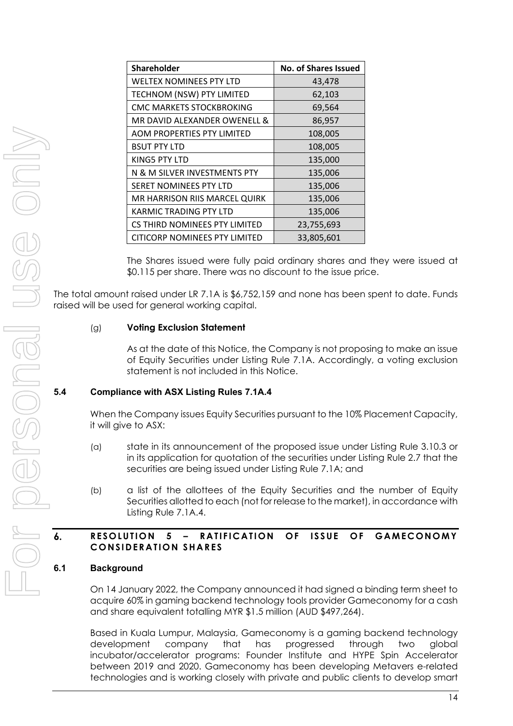| <b>Shareholder</b>                   | <b>No. of Shares Issued</b> |  |  |
|--------------------------------------|-----------------------------|--|--|
| <b>WELTEX NOMINEES PTY LTD</b>       | 43,478                      |  |  |
| TECHNOM (NSW) PTY LIMITED            | 62,103                      |  |  |
| <b>CMC MARKETS STOCKBROKING</b>      | 69,564                      |  |  |
| MR DAVID ALEXANDER OWENELL &         | 86,957                      |  |  |
| <b>AOM PROPERTIES PTY LIMITED</b>    | 108,005                     |  |  |
| <b>BSUT PTY LTD</b>                  | 108,005                     |  |  |
| KING5 PTY LTD                        | 135,000                     |  |  |
| N & M SILVER INVESTMENTS PTY         | 135,006                     |  |  |
| SERET NOMINEES PTY LTD               | 135,006                     |  |  |
| MR HARRISON RIIS MARCEL QUIRK        | 135,006                     |  |  |
| <b>KARMIC TRADING PTY LTD</b>        | 135,006                     |  |  |
| CS THIRD NOMINEES PTY LIMITED        | 23,755,693                  |  |  |
| <b>CITICORP NOMINEES PTY LIMITED</b> | 33,805,601                  |  |  |

The Shares issued were fully paid ordinary shares and they were issued at \$0.115 per share. There was no discount to the issue price.

The total amount raised under LR 7.1A is \$6,752,159 and none has been spent to date. Funds raised will be used for general working capital.

## (g) **Voting Exclusion Statement**

As at the date of this Notice, the Company is not proposing to make an issue of Equity Securities under Listing Rule 7.1A. Accordingly, a voting exclusion statement is not included in this Notice.

# **5.4 Compliance with ASX Listing Rules 7.1A.4**

When the Company issues Equity Securities pursuant to the 10% Placement Capacity, it will give to ASX:

- (a) state in its announcement of the proposed issue under Listing Rule 3.10.3 or in its application for quotation of the securities under Listing Rule 2.7 that the securities are being issued under Listing Rule 7.1A; and
- (b) a list of the allottees of the Equity Securities and the number of Equity Securities allotted to each (not for release to the market), in accordance with Listing Rule 7.1A.4.

#### $\mathbf{6}$ **RESOLUTION 5 – RATIFICATION OF ISSUE OF GAMECONOMY CONSIDERATION SHARES**

# **6.1 Background**

On 14 January 2022, the Company announced it had signed a binding term sheet to acquire 60% in gaming backend technology tools provider Gameconomy for a cash and share equivalent totalling MYR \$1.5 million (AUD \$497,264).

Based in Kuala Lumpur, Malaysia, Gameconomy is a gaming backend technology development company that has progressed through two global incubator/accelerator programs: Founder Institute and HYPE Spin Accelerator between 2019 and 2020. Gameconomy has been developing Metavers e-related technologies and is working closely with private and public clients to develop smart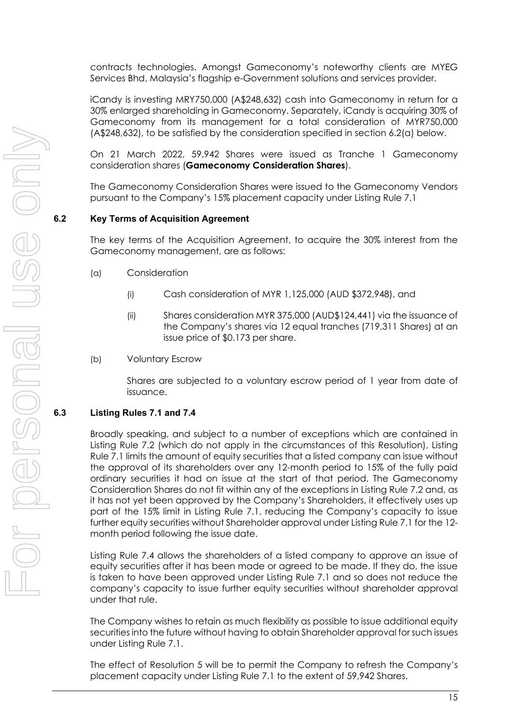contracts technologies. Amongst Gameconomy's noteworthy clients are MYEG Services Bhd, Malaysia's flagship e-Government solutions and services provider.

iCandy is investing MRY750,000 (A\$248,632) cash into Gameconomy in return for a 30% enlarged shareholding in Gameconomy. Separately, iCandy is acquiring 30% of Gameconomy from its management for a total consideration of MYR750,000 (A\$248,632), to be satisfied by the consideration specified in section 6.2(a) below.

On 21 March 2022, 59,942 Shares were issued as Tranche 1 Gameconomy consideration shares (**Gameconomy Consideration Shares**).

The Gameconomy Consideration Shares were issued to the Gameconomy Vendors pursuant to the Company's 15% placement capacity under Listing Rule 7.1

# **6.2 Key Terms of Acquisition Agreement**

The key terms of the Acquisition Agreement, to acquire the 30% interest from the Gameconomy management, are as follows:

- (a) Consideration
	- (i) Cash consideration of MYR 1,125,000 (AUD \$372,948), and
	- (ii) Shares consideration MYR 375,000 (AUD\$124,441) via the issuance of the Company's shares via 12 equal tranches (719,311 Shares) at an issue price of \$0.173 per share.
- (b) Voluntary Escrow

Shares are subjected to a voluntary escrow period of 1 year from date of issuance.

# **6.3 Listing Rules 7.1 and 7.4**

Broadly speaking, and subject to a number of exceptions which are contained in Listing Rule 7.2 (which do not apply in the circumstances of this Resolution), Listing Rule 7.1 limits the amount of equity securities that a listed company can issue without the approval of its shareholders over any 12-month period to 15% of the fully paid ordinary securities it had on issue at the start of that period. The Gameconomy Consideration Shares do not fit within any of the exceptions in Listing Rule 7.2 and, as it has not yet been approved by the Company's Shareholders, it effectively uses up part of the 15% limit in Listing Rule 7.1, reducing the Company's capacity to issue further equity securities without Shareholder approval under Listing Rule 7.1 for the 12 month period following the issue date.

Listing Rule 7.4 allows the shareholders of a listed company to approve an issue of equity securities after it has been made or agreed to be made. If they do, the issue is taken to have been approved under Listing Rule 7.1 and so does not reduce the company's capacity to issue further equity securities without shareholder approval under that rule.

The Company wishes to retain as much flexibility as possible to issue additional equity securities into the future without having to obtain Shareholder approval for such issues under Listing Rule 7.1.

The effect of Resolution 5 will be to permit the Company to refresh the Company's placement capacity under Listing Rule 7.1 to the extent of 59,942 Shares.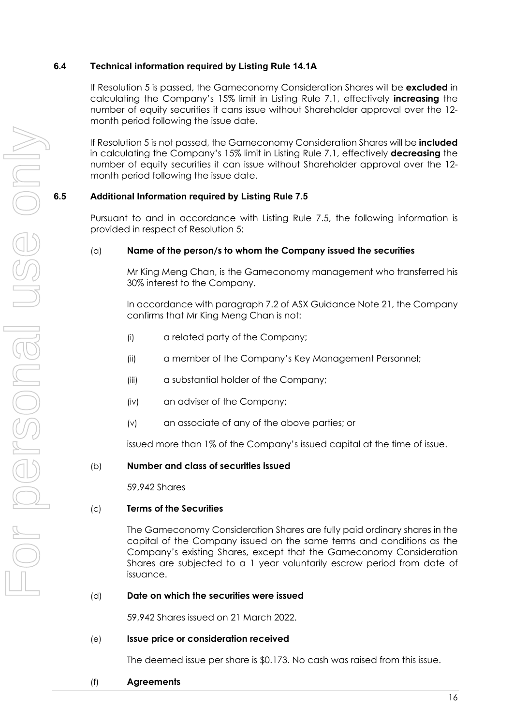# **6.4 Technical information required by Listing Rule 14.1A**

If Resolution 5 is passed, the Gameconomy Consideration Shares will be **excluded** in calculating the Company's 15% limit in Listing Rule 7.1, effectively **increasing** the number of equity securities it cans issue without Shareholder approval over the 12 month period following the issue date.

If Resolution 5 is not passed, the Gameconomy Consideration Shares will be **included** in calculating the Company's 15% limit in Listing Rule 7.1, effectively **decreasing** the number of equity securities it can issue without Shareholder approval over the 12 month period following the issue date.

# **6.5 Additional Information required by Listing Rule 7.5**

Pursuant to and in accordance with Listing Rule 7.5, the following information is provided in respect of Resolution 5:

# (a) **Name of the person/s to whom the Company issued the securities**

Mr King Meng Chan, is the Gameconomy management who transferred his 30% interest to the Company.

In accordance with paragraph 7.2 of ASX Guidance Note 21, the Company confirms that Mr King Meng Chan is not:

- (i) a related party of the Company;
- (ii) a member of the Company's Key Management Personnel;
- (iii) a substantial holder of the Company;
- (iv) an adviser of the Company;
- (v) an associate of any of the above parties; or

issued more than 1% of the Company's issued capital at the time of issue.

# (b) **Number and class of securities issued**

59,942 Shares

# (c) **Terms of the Securities**

The Gameconomy Consideration Shares are fully paid ordinary shares in the capital of the Company issued on the same terms and conditions as the Company's existing Shares, except that the Gameconomy Consideration Shares are subjected to a 1 year voluntarily escrow period from date of issuance.

#### (d) **Date on which the securities were issued**

59,942 Shares issued on 21 March 2022.

(e) **Issue price or consideration received**

The deemed issue per share is \$0.173. No cash was raised from this issue.

(f) **Agreements**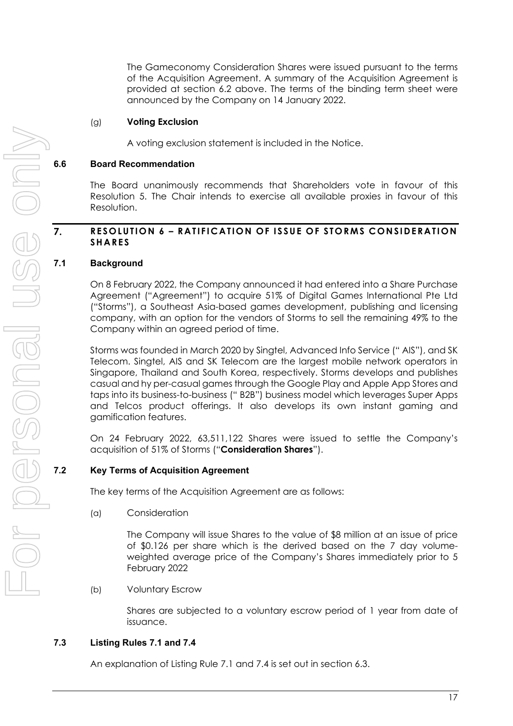The Gameconomy Consideration Shares were issued pursuant to the terms of the Acquisition Agreement. A summary of the Acquisition Agreement is provided at section 6.2 above. The terms of the binding term sheet were announced by the Company on 14 January 2022.

# (g) **Voting Exclusion**

A voting exclusion statement is included in the Notice.

## **6.6 Board Recommendation**

The Board unanimously recommends that Shareholders vote in favour of this Resolution 5. The Chair intends to exercise all available proxies in favour of this Resolution.

# **RESOLUTION 6 – RATIFICATION OF ISSUE OF STORMS CONSIDERATION SHARES**

## **7.1 Background**

7.

On 8 February 2022, the Company announced it had entered into a Share Purchase Agreement ("Agreement") to acquire 51% of Digital Games International Pte Ltd ("Storms"), a Southeast Asia-based games development, publishing and licensing company, with an option for the vendors of Storms to sell the remaining 49% to the Company within an agreed period of time.

Storms was founded in March 2020 by Singtel, Advanced Info Service (" AIS"), and SK Telecom. Singtel, AIS and SK Telecom are the largest mobile network operators in Singapore, Thailand and South Korea, respectively. Storms develops and publishes casual and hy per-casual games through the Google Play and Apple App Stores and taps into its business-to-business (" B2B") business model which leverages Super Apps and Telcos product offerings. It also develops its own instant gaming and gamification features.

On 24 February 2022, 63,511,122 Shares were issued to settle the Company's acquisition of 51% of Storms ("**Consideration Shares**").

# **7.2 Key Terms of Acquisition Agreement**

The key terms of the Acquisition Agreement are as follows:

(a) Consideration

The Company will issue Shares to the value of \$8 million at an issue of price of \$0.126 per share which is the derived based on the 7 day volumeweighted average price of the Company's Shares immediately prior to 5 February 2022

(b) Voluntary Escrow

Shares are subjected to a voluntary escrow period of 1 year from date of issuance.

# **7.3 Listing Rules 7.1 and 7.4**

An explanation of Listing Rule 7.1 and 7.4 is set out in section 6.3.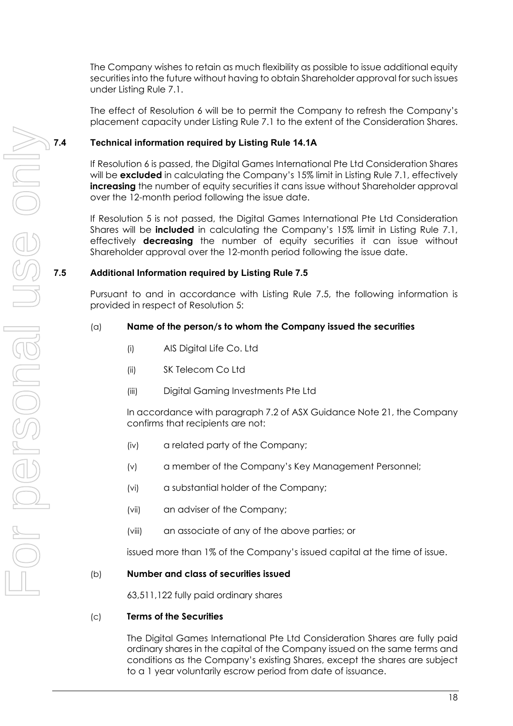The Company wishes to retain as much flexibility as possible to issue additional equity securities into the future without having to obtain Shareholder approval for such issues under Listing Rule 7.1.

The effect of Resolution 6 will be to permit the Company to refresh the Company's placement capacity under Listing Rule 7.1 to the extent of the Consideration Shares.

# **7.4 Technical information required by Listing Rule 14.1A**

If Resolution 6 is passed, the Digital Games International Pte Ltd Consideration Shares will be **excluded** in calculating the Company's 15% limit in Listing Rule 7.1, effectively **increasing** the number of equity securities it cans issue without Shareholder approval over the 12-month period following the issue date.

If Resolution 5 is not passed, the Digital Games International Pte Ltd Consideration Shares will be **included** in calculating the Company's 15% limit in Listing Rule 7.1, effectively **decreasing** the number of equity securities it can issue without Shareholder approval over the 12-month period following the issue date.

# **7.5 Additional Information required by Listing Rule 7.5**

Pursuant to and in accordance with Listing Rule 7.5, the following information is provided in respect of Resolution 5:

# (a) **Name of the person/s to whom the Company issued the securities**

- (i) AIS Digital Life Co. Ltd
- (ii) SK Telecom Co Ltd
- (iii) Digital Gaming Investments Pte Ltd

In accordance with paragraph 7.2 of ASX Guidance Note 21, the Company confirms that recipients are not:

- (iv) a related party of the Company;
- (v) a member of the Company's Key Management Personnel;
- (vi) a substantial holder of the Company;
- (vii) an adviser of the Company;
- (viii) an associate of any of the above parties; or

issued more than 1% of the Company's issued capital at the time of issue.

# (b) **Number and class of securities issued**

63,511,122 fully paid ordinary shares

# (c) **Terms of the Securities**

The Digital Games International Pte Ltd Consideration Shares are fully paid ordinary shares in the capital of the Company issued on the same terms and conditions as the Company's existing Shares, except the shares are subject to a 1 year voluntarily escrow period from date of issuance.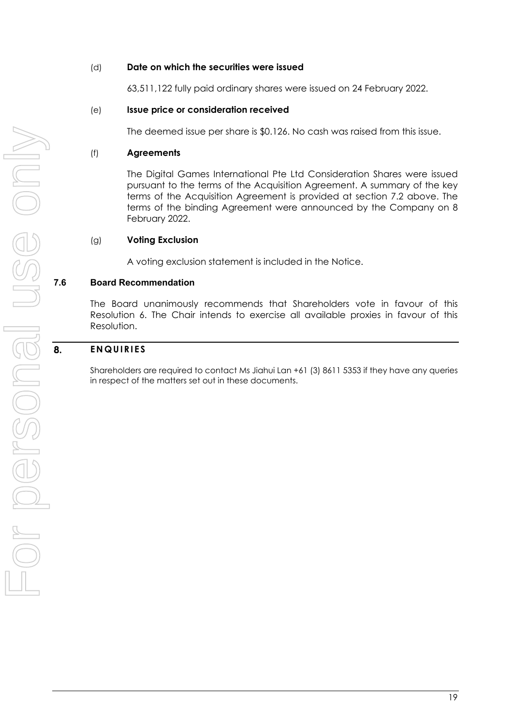## (d) **Date on which the securities were issued**

63,511,122 fully paid ordinary shares were issued on 24 February 2022.

## (e) **Issue price or consideration received**

The deemed issue per share is \$0.126. No cash was raised from this issue.

#### (f) **Agreements**

The Digital Games International Pte Ltd Consideration Shares were issued pursuant to the terms of the Acquisition Agreement. A summary of the key terms of the Acquisition Agreement is provided at section 7.2 above. The terms of the binding Agreement were announced by the Company on 8 February 2022.

# (g) **Voting Exclusion**

A voting exclusion statement is included in the Notice.

# **7.6 Board Recommendation**

The Board unanimously recommends that Shareholders vote in favour of this Resolution 6. The Chair intends to exercise all available proxies in favour of this Resolution.

#### **ENQUIRIES**  8.

Shareholders are required to contact Ms Jiahui Lan +61 (3) 8611 5353 if they have any queries in respect of the matters set out in these documents.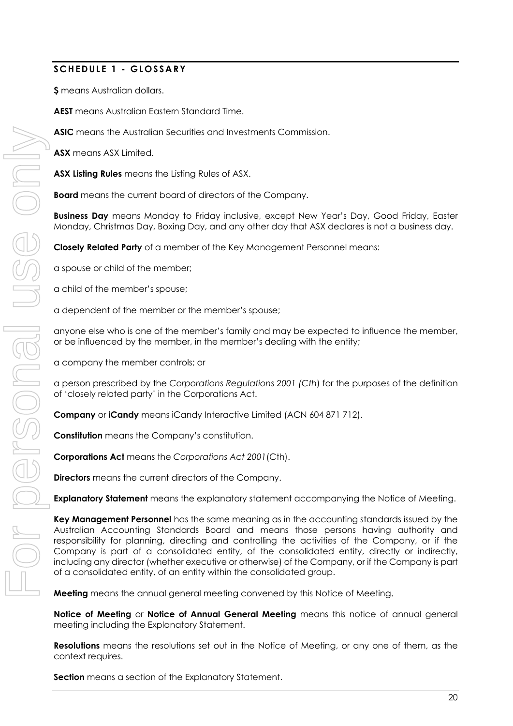# **SCHEDULE 1 - GLOSSARY**

**\$** means Australian dollars.

**AEST** means Australian Eastern Standard Time.

**ASIC** means the Australian Securities and Investments Commission.

**ASX** means ASX Limited.

**ASX Listing Rules** means the Listing Rules of ASX.

**Board** means the current board of directors of the Company.

**Business Day** means Monday to Friday inclusive, except New Year's Day, Good Friday, Easter Monday, Christmas Day, Boxing Day, and any other day that ASX declares is not a business day.

**Closely Related Party** of a member of the Key Management Personnel means:

a spouse or child of the member;

a child of the member's spouse;

a dependent of the member or the member's spouse;

anyone else who is one of the member's family and may be expected to influence the member, or be influenced by the member, in the member's dealing with the entity;

a company the member controls; or

a person prescribed by the *Corporations Regulations 2001 (Cth*) for the purposes of the definition of 'closely related party' in the Corporations Act.

**Company** or **iCandy** means iCandy Interactive Limited (ACN 604 871 712).

**Constitution** means the Company's constitution.

**Corporations Act** means the *Corporations Act 2001*(Cth).

**Directors** means the current directors of the Company.

**Explanatory Statement** means the explanatory statement accompanying the Notice of Meeting.

**Key Management Personnel** has the same meaning as in the accounting standards issued by the Australian Accounting Standards Board and means those persons having authority and responsibility for planning, directing and controlling the activities of the Company, or if the Company is part of a consolidated entity, of the consolidated entity, directly or indirectly, including any director (whether executive or otherwise) of the Company, or if the Company is part of a consolidated entity, of an entity within the consolidated group.

**Meeting** means the annual general meeting convened by this Notice of Meeting.

**Notice of Meeting** or **Notice of Annual General Meeting** means this notice of annual general meeting including the Explanatory Statement.

**Resolutions** means the resolutions set out in the Notice of Meeting, or any one of them, as the context requires.

**Section** means a section of the Explanatory Statement.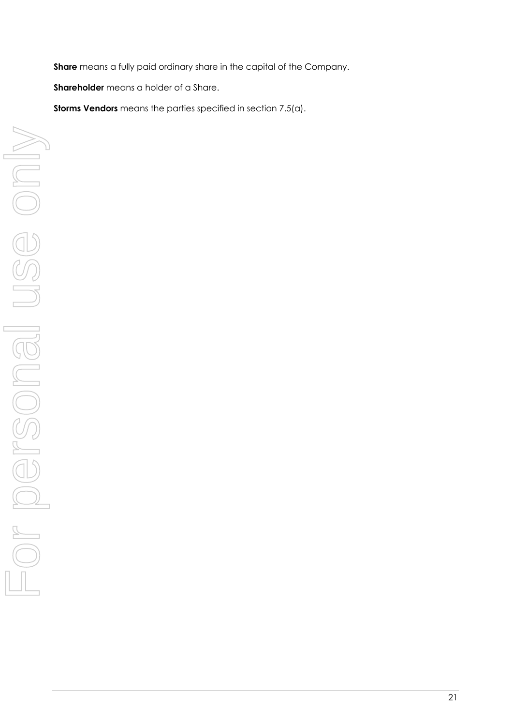**Share** means a fully paid ordinary share in the capital of the Company.

**Shareholder** means a holder of a Share.

**Storms Vendors** means the parties specified in section 7.5(a).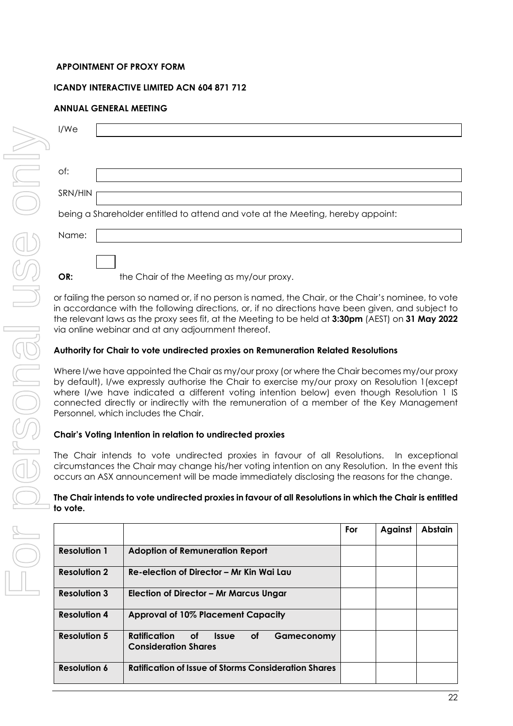# **APPOINTMENT OF PROXY FORM**

# **ICANDY INTERACTIVE LIMITED ACN 604 871 712**

# **ANNUAL GENERAL MEETING**

| I/We    |                                                                                 |
|---------|---------------------------------------------------------------------------------|
|         |                                                                                 |
| of:     |                                                                                 |
| SRN/HIN |                                                                                 |
|         | being a Shareholder entitled to attend and vote at the Meeting, hereby appoint: |
| Name:   |                                                                                 |
|         |                                                                                 |
| OR:     | the Chair of the Meeting as my/our proxy.                                       |

or failing the person so named or, if no person is named, the Chair, or the Chair's nominee, to vote in accordance with the following directions, or, if no directions have been given, and subject to the relevant laws as the proxy sees fit, at the Meeting to be held at **3:30pm** (AEST) on **31 May 2022** via online webinar and at any adjournment thereof.

# **Authority for Chair to vote undirected proxies on Remuneration Related Resolutions**

Where I/we have appointed the Chair as my/our proxy (or where the Chair becomes my/our proxy by default), I/we expressly authorise the Chair to exercise my/our proxy on Resolution 1(except where I/we have indicated a different voting intention below) even though Resolution 1 IS connected directly or indirectly with the remuneration of a member of the Key Management Personnel, which includes the Chair.

# **Chair's Voting Intention in relation to undirected proxies**

The Chair intends to vote undirected proxies in favour of all Resolutions. In exceptional circumstances the Chair may change his/her voting intention on any Resolution. In the event this occurs an ASX announcement will be made immediately disclosing the reasons for the change.

# **The Chair intends to vote undirected proxies in favour of all Resolutions in which the Chair is entitled to vote.**

|                     |                                                                                                                                                                                                           | For | Against | <b>Abstain</b> |
|---------------------|-----------------------------------------------------------------------------------------------------------------------------------------------------------------------------------------------------------|-----|---------|----------------|
| <b>Resolution 1</b> | <b>Adoption of Remuneration Report</b>                                                                                                                                                                    |     |         |                |
| <b>Resolution 2</b> | Re-election of Director – Mr Kin Wai Lau                                                                                                                                                                  |     |         |                |
| <b>Resolution 3</b> | Election of Director – Mr Marcus Ungar                                                                                                                                                                    |     |         |                |
| <b>Resolution 4</b> | <b>Approval of 10% Placement Capacity</b>                                                                                                                                                                 |     |         |                |
| <b>Resolution 5</b> | Ratification<br>of the contract of the contract of the contract of the contract of the contract of the contract of the contract<br><b>of</b><br><b>Issue</b><br>Gameconomy<br><b>Consideration Shares</b> |     |         |                |
| <b>Resolution 6</b> | <b>Ratification of Issue of Storms Consideration Shares</b>                                                                                                                                               |     |         |                |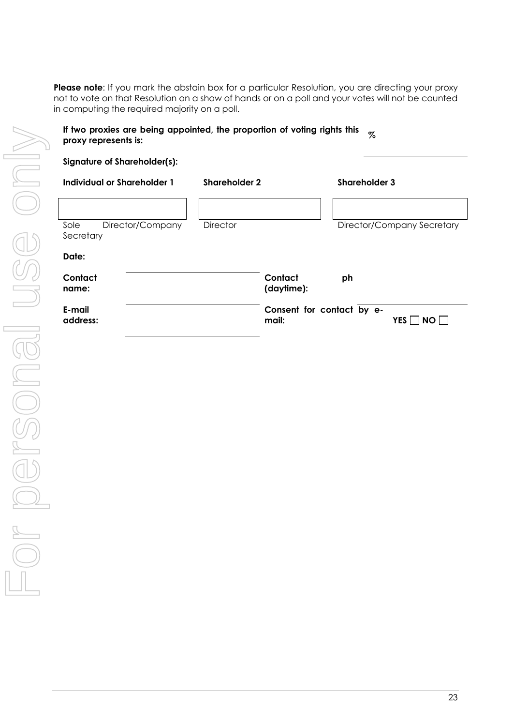Please note: If you mark the abstain box for a particular Resolution, you are directing your proxy not to vote on that Resolution on a show of hands or on a poll and your votes will not be counted in computing the required majority on a poll.

# **If two proxies are being appointed, the proportion of voting rights this proxy represents is: %**

| <b>Signature of Shareholder(s):</b>   |                       |                                               |  |
|---------------------------------------|-----------------------|-----------------------------------------------|--|
| Individual or Shareholder 1           | <b>Shareholder 2</b>  | Shareholder 3                                 |  |
|                                       |                       |                                               |  |
| Sole<br>Director/Company<br>Secretary | <b>Director</b>       | Director/Company Secretary                    |  |
| Date:                                 |                       |                                               |  |
| Contact<br>name:                      | Contact<br>(daytime): | ph                                            |  |
| E-mail<br>address:                    | mail:                 | Consent for contact by e-<br><b>YES</b><br>NO |  |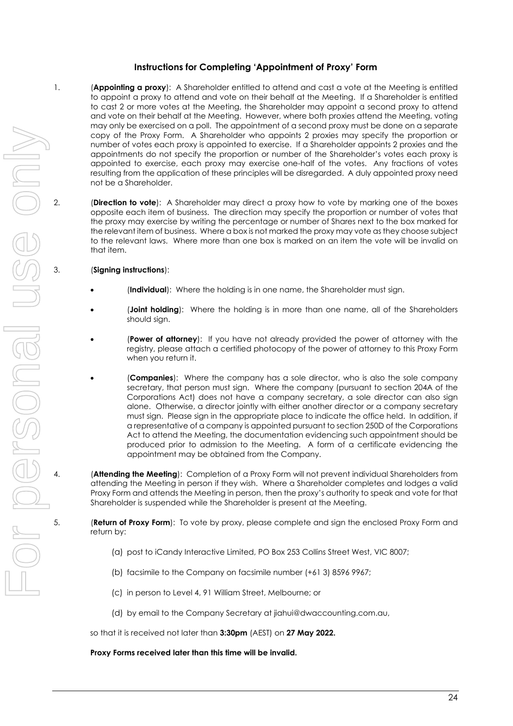# **Instructions for Completing 'Appointment of Proxy' Form**

- 1. (**Appointing a proxy**): A Shareholder entitled to attend and cast a vote at the Meeting is entitled to appoint a proxy to attend and vote on their behalf at the Meeting. If a Shareholder is entitled to cast 2 or more votes at the Meeting, the Shareholder may appoint a second proxy to attend and vote on their behalf at the Meeting. However, where both proxies attend the Meeting, voting may only be exercised on a poll. The appointment of a second proxy must be done on a separate copy of the Proxy Form. A Shareholder who appoints 2 proxies may specify the proportion or number of votes each proxy is appointed to exercise. If a Shareholder appoints 2 proxies and the appointments do not specify the proportion or number of the Shareholder's votes each proxy is appointed to exercise, each proxy may exercise one-half of the votes. Any fractions of votes resulting from the application of these principles will be disregarded. A duly appointed proxy need not be a Shareholder.
- 2. (**Direction to vote**): A Shareholder may direct a proxy how to vote by marking one of the boxes opposite each item of business. The direction may specify the proportion or number of votes that the proxy may exercise by writing the percentage or number of Shares next to the box marked for the relevant item of business. Where a box is not marked the proxy may vote as they choose subject to the relevant laws. Where more than one box is marked on an item the vote will be invalid on that item.

## 3. (**Signing instructions**):

- (**Individual**): Where the holding is in one name, the Shareholder must sign.
- (**Joint holding**): Where the holding is in more than one name, all of the Shareholders should sign.
- (**Power of attorney**): If you have not already provided the power of attorney with the registry, please attach a certified photocopy of the power of attorney to this Proxy Form when you return it.
- (**Companies**): Where the company has a sole director, who is also the sole company secretary, that person must sign. Where the company (pursuant to section 204A of the Corporations Act) does not have a company secretary, a sole director can also sign alone. Otherwise, a director jointly with either another director or a company secretary must sign. Please sign in the appropriate place to indicate the office held. In addition, if a representative of a company is appointed pursuant to section 250D of the Corporations Act to attend the Meeting, the documentation evidencing such appointment should be produced prior to admission to the Meeting. A form of a certificate evidencing the appointment may be obtained from the Company.
- 4. (**Attending the Meeting**): Completion of a Proxy Form will not prevent individual Shareholders from attending the Meeting in person if they wish. Where a Shareholder completes and lodges a valid Proxy Form and attends the Meeting in person, then the proxy's authority to speak and vote for that Shareholder is suspended while the Shareholder is present at the Meeting.
- 5. (**Return of Proxy Form**): To vote by proxy, please complete and sign the enclosed Proxy Form and return by:
	- (a) post to iCandy Interactive Limited, PO Box 253 Collins Street West, VIC 8007;
	- (b) facsimile to the Company on facsimile number (+61 3) 8596 9967;
	- (c) in person to Level 4, 91 William Street, Melbourne; or
	- (d) by email to the Company Secretary at jiahui@dwaccounting.com.au,

so that it is received not later than **3:30pm** (AEST) on **27 May 2022.**

#### **Proxy Forms received later than this time will be invalid.**